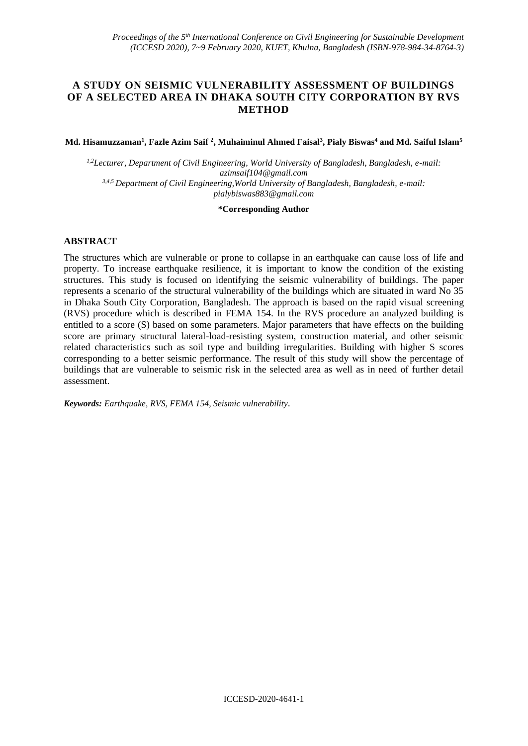## **A STUDY ON SEISMIC VULNERABILITY ASSESSMENT OF BUILDINGS OF A SELECTED AREA IN DHAKA SOUTH CITY CORPORATION BY RVS METHOD**

**Md. Hisamuzzaman<sup>1</sup> , Fazle Azim Saif <sup>2</sup> , Muhaiminul Ahmed Faisal<sup>3</sup> , Pialy Biswas<sup>4</sup> and Md. Saiful Islam<sup>5</sup>**

*1,2Lecturer, Department of Civil Engineering, World University of Bangladesh, Bangladesh, e-mail: azimsaif104@gmail.com 3,4,5 Department of Civil Engineering,World University of Bangladesh, Bangladesh, e-mail: [pialybiswas883@gmail.com](mailto:pialybiswas883@gmail.com)*

**\*Corresponding Author**

#### **ABSTRACT**

The structures which are vulnerable or prone to collapse in an earthquake can cause loss of life and property. To increase earthquake resilience, it is important to know the condition of the existing structures. This study is focused on identifying the seismic vulnerability of buildings. The paper represents a scenario of the structural vulnerability of the buildings which are situated in ward No 35 in Dhaka South City Corporation, Bangladesh. The approach is based on the rapid visual screening (RVS) procedure which is described in FEMA 154. In the RVS procedure an analyzed building is entitled to a score (S) based on some parameters. Major parameters that have effects on the building score are primary structural lateral-load-resisting system, construction material, and other seismic related characteristics such as soil type and building irregularities. Building with higher S scores corresponding to a better seismic performance. The result of this study will show the percentage of buildings that are vulnerable to seismic risk in the selected area as well as in need of further detail assessment.

*Keywords: Earthquake, RVS, FEMA 154, Seismic vulnerability.*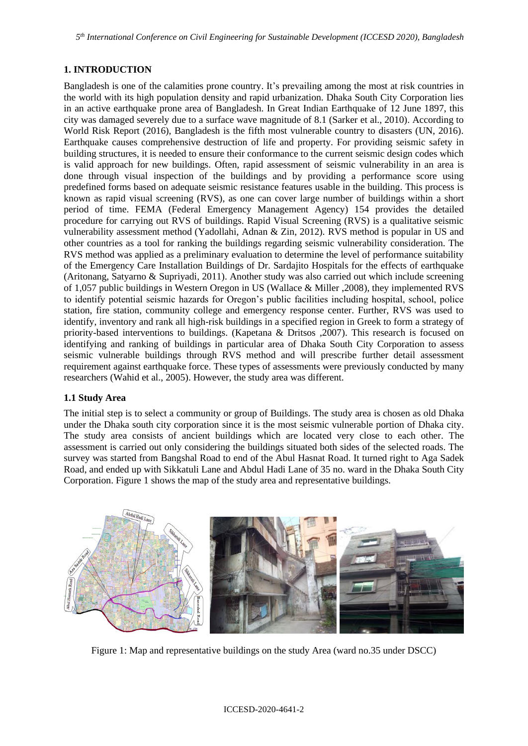# **1. INTRODUCTION**

Bangladesh is one of the calamities prone country. It's prevailing among the most at risk countries in the world with its high population density and rapid urbanization. Dhaka South City Corporation lies in an active earthquake prone area of Bangladesh. In Great Indian Earthquake of 12 June 1897, this city was damaged severely due to a surface wave magnitude of 8.1 (Sarker et al., 2010). According to World Risk Report (2016), Bangladesh is the fifth most vulnerable country to disasters (UN, 2016). Earthquake causes comprehensive destruction of life and property. For providing seismic safety in building structures, it is needed to ensure their conformance to the current seismic design codes which is valid approach for new buildings. Often, rapid assessment of seismic vulnerability in an area is done through visual inspection of the buildings and by providing a performance score using predefined forms based on adequate seismic resistance features usable in the building. This process is known as rapid visual screening (RVS), as one can cover large number of buildings within a short period of time. FEMA (Federal Emergency Management Agency) 154 provides the detailed procedure for carrying out RVS of buildings. Rapid Visual Screening (RVS) is a qualitative seismic vulnerability assessment method (Yadollahi, Adnan & Zin, 2012). RVS method is popular in US and other countries as a tool for ranking the buildings regarding seismic vulnerability consideration. The RVS method was applied as a preliminary evaluation to determine the level of performance suitability of the Emergency Care Installation Buildings of Dr. Sardajito Hospitals for the effects of earthquake (Aritonang, Satyarno & Supriyadi, 2011). Another study was also carried out which include screening of 1,057 public buildings in Western Oregon in US (Wallace & Miller ,2008), they implemented RVS to identify potential seismic hazards for Oregon's public facilities including hospital, school, police station, fire station, community college and emergency response center. Further, RVS was used to identify, inventory and rank all high-risk buildings in a specified region in Greek to form a strategy of priority-based interventions to buildings. (Kapetana & Dritsos ,2007). This research is focused on identifying and ranking of buildings in particular area of Dhaka South City Corporation to assess seismic vulnerable buildings through RVS method and will prescribe further detail assessment requirement against earthquake force. These types of assessments were previously conducted by many researchers (Wahid et al., 2005). However, the study area was different.

### **1.1 Study Area**

The initial step is to select a community or group of Buildings. The study area is chosen as old Dhaka under the Dhaka south city corporation since it is the most seismic vulnerable portion of Dhaka city. The study area consists of ancient buildings which are located very close to each other. The assessment is carried out only considering the buildings situated both sides of the selected roads. The survey was started from Bangshal Road to end of the Abul Hasnat Road. It turned right to Aga Sadek Road, and ended up with Sikkatuli Lane and Abdul Hadi Lane of 35 no. ward in the Dhaka South City Corporation. Figure 1 shows the map of the study area and representative buildings.



Figure 1: Map and representative buildings on the study Area (ward no.35 under DSCC)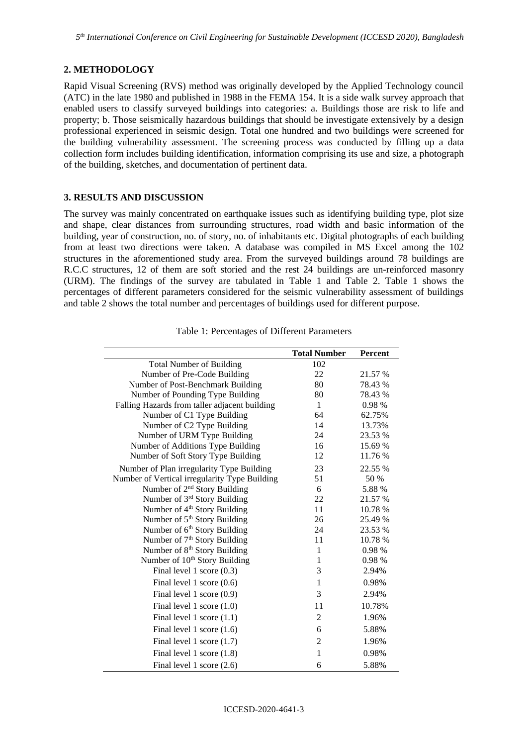### **2. METHODOLOGY**

Rapid Visual Screening (RVS) method was originally developed by the Applied Technology council (ATC) in the late 1980 and published in 1988 in the FEMA 154. It is a side walk survey approach that enabled users to classify surveyed buildings into categories: a. Buildings those are risk to life and property; b. Those seismically hazardous buildings that should be investigate extensively by a design professional experienced in seismic design. Total one hundred and two buildings were screened for the building vulnerability assessment. The screening process was conducted by filling up a data collection form includes building identification, information comprising its use and size, a photograph of the building, sketches, and documentation of pertinent data.

#### **3. RESULTS AND DISCUSSION**

The survey was mainly concentrated on earthquake issues such as identifying building type, plot size and shape, clear distances from surrounding structures, road width and basic information of the building, year of construction, no. of story, no. of inhabitants etc. Digital photographs of each building from at least two directions were taken. A database was compiled in MS Excel among the 102 structures in the aforementioned study area. From the surveyed buildings around 78 buildings are R.C.C structures, 12 of them are soft storied and the rest 24 buildings are un-reinforced masonry (URM). The findings of the survey are tabulated in Table 1 and Table 2. Table 1 shows the percentages of different parameters considered for the seismic vulnerability assessment of buildings and table 2 shows the total number and percentages of buildings used for different purpose.

|                                               | <b>Total Number</b> | <b>Percent</b> |
|-----------------------------------------------|---------------------|----------------|
| <b>Total Number of Building</b>               | 102                 |                |
| Number of Pre-Code Building                   | 22                  | 21.57 %        |
| Number of Post-Benchmark Building             | 80                  | 78.43 %        |
| Number of Pounding Type Building              | 80                  | 78.43 %        |
| Falling Hazards from taller adjacent building | 1                   | 0.98%          |
| Number of C1 Type Building                    | 64                  | 62.75%         |
| Number of C2 Type Building                    | 14                  | 13.73%         |
| Number of URM Type Building                   | 24                  | 23.53 %        |
| Number of Additions Type Building             | 16                  | 15.69 %        |
| Number of Soft Story Type Building            | 12                  | 11.76 %        |
| Number of Plan irregularity Type Building     | 23                  | 22.55 %        |
| Number of Vertical irregularity Type Building | 51                  | 50 %           |
| Number of $2nd$ Story Building                | 6                   | 5.88 %         |
| Number of 3rd Story Building                  | 22                  | 21.57 %        |
| Number of 4 <sup>th</sup> Story Building      | 11                  | 10.78 %        |
| Number of 5 <sup>th</sup> Story Building      | 26                  | 25.49 %        |
| Number of 6 <sup>th</sup> Story Building      | 24                  | 23.53 %        |
| Number of 7 <sup>th</sup> Story Building      | 11                  | 10.78 %        |
| Number of 8 <sup>th</sup> Story Building      | $\mathbf{1}$        | 0.98%          |
| Number of 10 <sup>th</sup> Story Building     | 1                   | 0.98 %         |
| Final level 1 score $(0.3)$                   | 3                   | 2.94%          |
| Final level 1 score $(0.6)$                   | $\mathbf{1}$        | 0.98%          |
| Final level 1 score $(0.9)$                   | 3                   | 2.94%          |
| Final level 1 score $(1.0)$                   | 11                  | 10.78%         |
| Final level 1 score $(1.1)$                   | $\overline{2}$      | 1.96%          |
| Final level 1 score $(1.6)$                   | 6                   | 5.88%          |
| Final level 1 score $(1.7)$                   | 2                   | 1.96%          |
| Final level 1 score (1.8)                     | $\mathbf{1}$        | 0.98%          |
| Final level 1 score $(2.6)$                   | 6                   | 5.88%          |

Table 1: Percentages of Different Parameters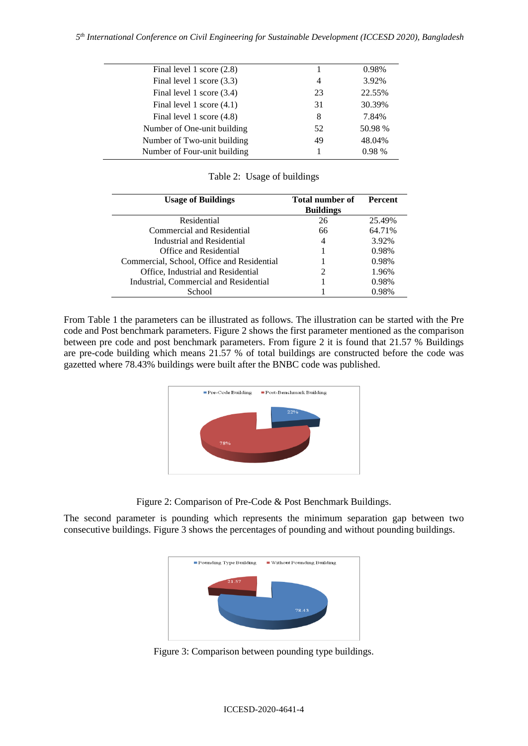| Final level 1 score $(2.8)$  |                | 0.98%   |
|------------------------------|----------------|---------|
| Final level 1 score (3.3)    | $\overline{4}$ | 3.92%   |
| Final level 1 score (3.4)    | 23             | 22.55%  |
| Final level 1 score $(4.1)$  | 31             | 30.39%  |
| Final level 1 score (4.8)    | 8              | 7.84%   |
| Number of One-unit building  | 52             | 50.98 % |
| Number of Two-unit building  | 49             | 48.04%  |
| Number of Four-unit building |                | 0.98%   |
|                              |                |         |

Table 2: Usage of buildings

| Total number of<br><b>Percent</b> |
|-----------------------------------|
| <b>Buildings</b>                  |
| 25.49%                            |
| 64.71%                            |
| 3.92%                             |
| 0.98%                             |
| 0.98%                             |
| 1.96%                             |
| 0.98%                             |
| 0.98%                             |
|                                   |

From Table 1 the parameters can be illustrated as follows. The illustration can be started with the Pre code and Post benchmark parameters. Figure 2 shows the first parameter mentioned as the comparison between pre code and post benchmark parameters. From figure 2 it is found that 21.57 % Buildings are pre-code building which means 21.57 % of total buildings are constructed before the code was gazetted where 78.43% buildings were built after the BNBC code was published.



Figure 2: Comparison of Pre-Code & Post Benchmark Buildings.

The second parameter is pounding which represents the minimum separation gap between two consecutive buildings. Figure 3 shows the percentages of pounding and without pounding buildings.



Figure 3: Comparison between pounding type buildings.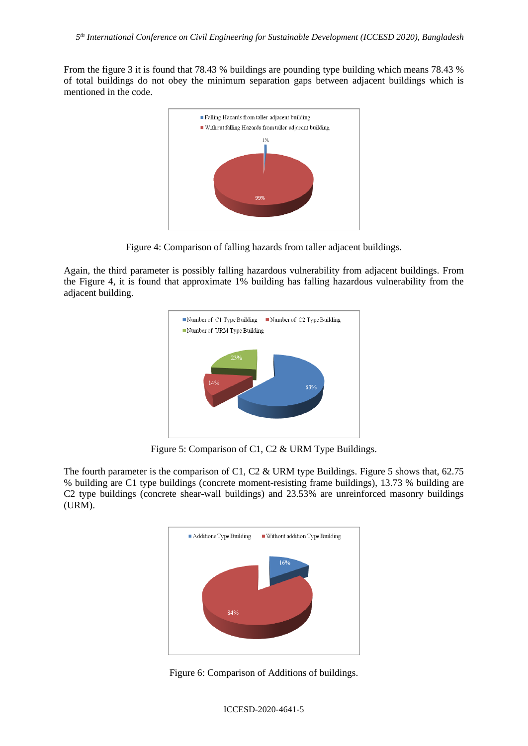From the figure 3 it is found that 78.43 % buildings are pounding type building which means 78.43 % of total buildings do not obey the minimum separation gaps between adjacent buildings which is mentioned in the code.



Figure 4: Comparison of falling hazards from taller adjacent buildings.

Again, the third parameter is possibly falling hazardous vulnerability from adjacent buildings. From the Figure 4, it is found that approximate 1% building has falling hazardous vulnerability from the adjacent building.



Figure 5: Comparison of C1, C2 & URM Type Buildings.

The fourth parameter is the comparison of C1, C2 & URM type Buildings. Figure 5 shows that,  $62.75$ % building are C1 type buildings (concrete moment-resisting frame buildings), 13.73 % building are C2 type buildings (concrete shear-wall buildings) and 23.53% are unreinforced masonry buildings (URM).



Figure 6: Comparison of Additions of buildings.

#### ICCESD-2020-4641-5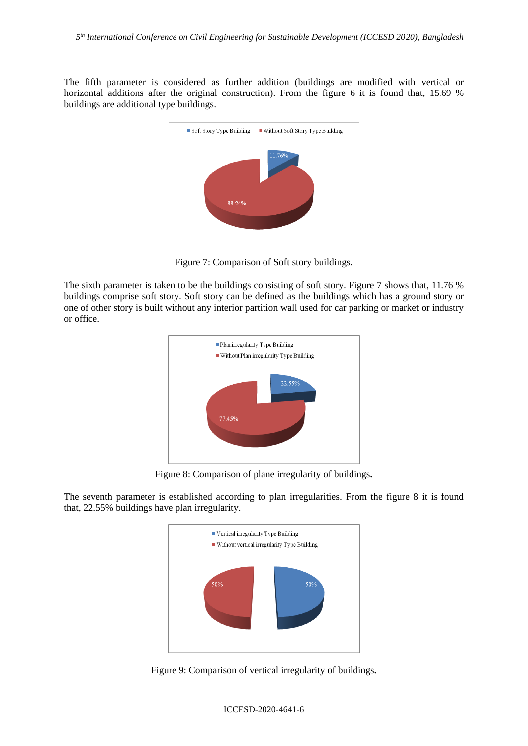The fifth parameter is considered as further addition (buildings are modified with vertical or horizontal additions after the original construction). From the figure 6 it is found that, 15.69 % buildings are additional type buildings.



Figure 7: Comparison of Soft story buildings**.**

The sixth parameter is taken to be the buildings consisting of soft story. Figure 7 shows that, 11.76 % buildings comprise soft story. Soft story can be defined as the buildings which has a ground story or one of other story is built without any interior partition wall used for car parking or market or industry or office.



Figure 8: Comparison of plane irregularity of buildings**.**

The seventh parameter is established according to plan irregularities. From the figure 8 it is found that, 22.55% buildings have plan irregularity.



Figure 9: Comparison of vertical irregularity of buildings**.**

ICCESD-2020-4641-6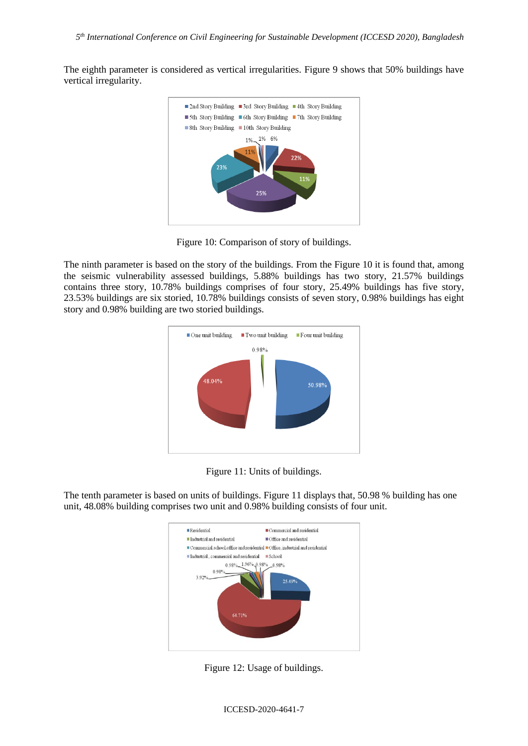The eighth parameter is considered as vertical irregularities. Figure 9 shows that 50% buildings have vertical irregularity.



Figure 10: Comparison of story of buildings.

The ninth parameter is based on the story of the buildings. From the Figure 10 it is found that, among the seismic vulnerability assessed buildings, 5.88% buildings has two story, 21.57% buildings contains three story, 10.78% buildings comprises of four story, 25.49% buildings has five story, 23.53% buildings are six storied, 10.78% buildings consists of seven story, 0.98% buildings has eight story and 0.98% building are two storied buildings.





The tenth parameter is based on units of buildings. Figure 11 displays that, 50.98 % building has one unit, 48.08% building comprises two unit and 0.98% building consists of four unit.



Figure 12: Usage of buildings.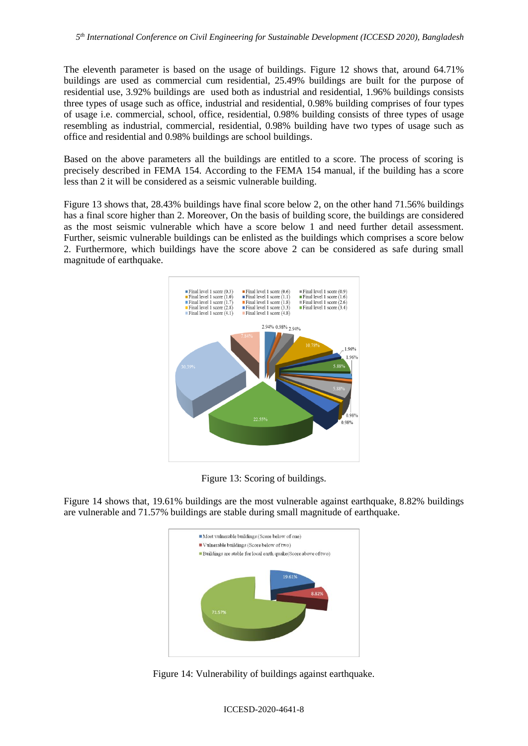The eleventh parameter is based on the usage of buildings. Figure 12 shows that, around 64.71% buildings are used as commercial cum residential, 25.49% buildings are built for the purpose of residential use, 3.92% buildings are used both as industrial and residential, 1.96% buildings consists three types of usage such as office, industrial and residential, 0.98% building comprises of four types of usage i.e. commercial, school, office, residential, 0.98% building consists of three types of usage resembling as industrial, commercial, residential, 0.98% building have two types of usage such as office and residential and 0.98% buildings are school buildings.

Based on the above parameters all the buildings are entitled to a score. The process of scoring is precisely described in FEMA 154. According to the FEMA 154 manual, if the building has a score less than 2 it will be considered as a seismic vulnerable building.

Figure 13 shows that, 28.43% buildings have final score below 2, on the other hand 71.56% buildings has a final score higher than 2. Moreover, On the basis of building score, the buildings are considered as the most seismic vulnerable which have a score below 1 and need further detail assessment. Further, seismic vulnerable buildings can be enlisted as the buildings which comprises a score below 2. Furthermore, which buildings have the score above 2 can be considered as safe during small magnitude of earthquake.



Figure 13: Scoring of buildings.

Figure 14 shows that, 19.61% buildings are the most vulnerable against earthquake, 8.82% buildings are vulnerable and 71.57% buildings are stable during small magnitude of earthquake.



Figure 14: Vulnerability of buildings against earthquake.